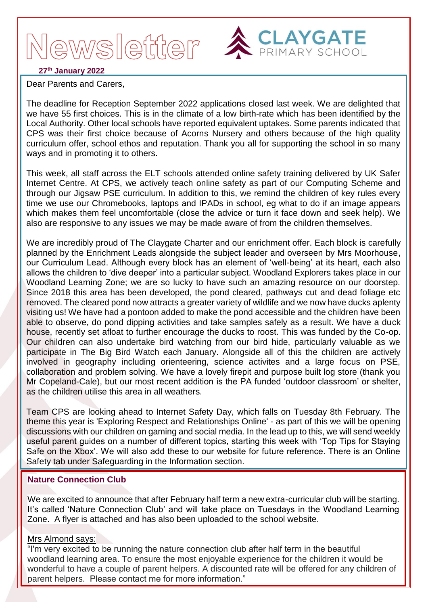## ewsletter :



## **27th January 2022**

Dear Parents and Carers,

The deadline for Reception September 2022 applications closed last week. We are delighted that we have 55 first choices. This is in the climate of a low birth-rate which has been identified by the Local Authority. Other local schools have reported equivalent uptakes. Some parents indicated that CPS was their first choice because of Acorns Nursery and others because of the high quality curriculum offer, school ethos and reputation. Thank you all for supporting the school in so many ways and in promoting it to others.

This week, all staff across the ELT schools attended online safety training delivered by UK Safer Internet Centre. At CPS, we actively teach online safety as part of our Computing Scheme and through our Jigsaw PSE curriculum. In addition to this, we remind the children of key rules every time we use our Chromebooks, laptops and IPADs in school, eg what to do if an image appears which makes them feel uncomfortable (close the advice or turn it face down and seek help). We also are responsive to any issues we may be made aware of from the children themselves.

We are incredibly proud of The Claygate Charter and our enrichment offer. Each block is carefully planned by the Enrichment Leads alongside the subject leader and overseen by Mrs Moorhouse, our Curriculum Lead. Although every block has an element of 'well-being' at its heart, each also allows the children to 'dive deeper' into a particular subject. Woodland Explorers takes place in our Woodland Learning Zone; we are so lucky to have such an amazing resource on our doorstep. Since 2018 this area has been developed, the pond cleared, pathways cut and dead foliage etc removed. The cleared pond now attracts a greater variety of wildlife and we now have ducks aplenty visiting us! We have had a pontoon added to make the pond accessible and the children have been able to observe, do pond dipping activities and take samples safely as a result. We have a duck house, recently set afloat to further encourage the ducks to roost. This was funded by the Co-op. Our children can also undertake bird watching from our bird hide, particularly valuable as we participate in The Big Bird Watch each January. Alongside all of this the children are actively involved in geography including orienteering, science activites and a large focus on PSE, collaboration and problem solving. We have a lovely firepit and purpose built log store (thank you Mr Copeland-Cale), but our most recent addition is the PA funded 'outdoor classroom' or shelter, as the children utilise this area in all weathers.

Team CPS are looking ahead to Internet Safety Day, which falls on Tuesday 8th February. The theme this year is 'Exploring Respect and Relationships Online' - as part of this we will be opening discussions with our children on gaming and social media. In the lead up to this, we will send weekly useful parent guides on a number of different topics, starting this week with 'Top Tips for Staying Safe on the Xbox'. We will also add these to our website for future reference. There is an Online Safety tab under Safeguarding in the Information section.

## **Nature Connection Club**

We are excited to announce that after February half term a new extra-curricular club will be starting. It's called 'Nature Connection Club' and will take place on Tuesdays in the Woodland Learning Zone. A flyer is attached and has also been uploaded to the school website.

#### Mrs Almond says:

"I'm very excited to be running the nature connection club after half term in the beautiful woodland learning area. To ensure the most enjoyable experience for the children it would be wonderful to have a couple of parent helpers. A discounted rate will be offered for any children of parent helpers. Please contact me for more information."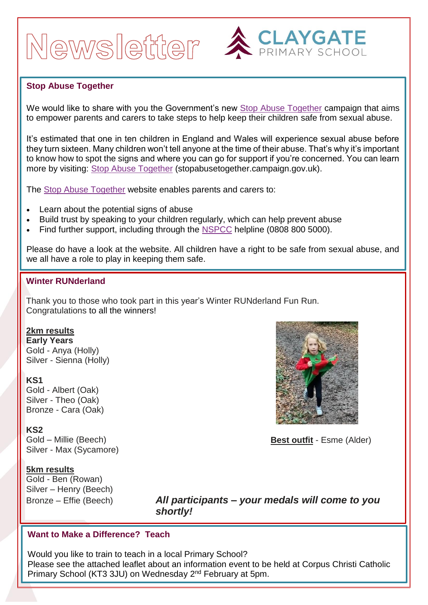# Newsletter ACLAYGATE



## **Stop Abuse Together**

We would like to share with you the Government's new [Stop Abuse Together](https://surreycountycouncil.newsweaver.co.uk/SchoolsBulletin/sj2c9xl11qkftvy3n2c9zh/external?a=6&p=61122066&t=20022805) campaign that aims to empower parents and carers to take steps to help keep their children safe from sexual abuse.

It's estimated that one in ten children in England and Wales will experience sexual abuse before they turn sixteen. Many children won't tell anyone at the time of their abuse. That's why it's important to know how to spot the signs and where you can go for support if you're concerned. You can learn more by visiting: [Stop Abuse Together](https://surreycountycouncil.newsweaver.co.uk/SchoolsBulletin/sj2c9xl11qkftvy3n2c9zh/external?i=2&a=6&p=61122066&t=20022805) (stopabusetogether.campaign.gov.uk).

The [Stop Abuse Together](https://surreycountycouncil.newsweaver.co.uk/SchoolsBulletin/sj2c9xl11qkftvy3n2c9zh/external?i=3&a=6&p=61122066&t=20022805) website enables parents and carers to:

- Learn about the potential signs of abuse
- Build trust by speaking to your children regularly, which can help prevent abuse
- Find further support, including through the [NSPCC](https://surreycountycouncil.newsweaver.co.uk/SchoolsBulletin/s0t2p0p1rlkftvy3n2c9zh/external?a=6&p=61122066&t=20022805) helpline (0808 800 5000).

Please do have a look at the website. All children have a right to be safe from sexual abuse, and we all have a role to play in keeping them safe.

## **Winter RUNderland**

Thank you to those who took part in this year's Winter RUNderland Fun Run. Congratulations to all the winners!

#### **2km results**

**Early Years** Gold - Anya (Holly) Silver - Sienna (Holly)

#### **KS1**

Gold - Albert (Oak) Silver - Theo (Oak) Bronze - Cara (Oak)

#### **KS2**

Gold – Millie (Beech) Silver - Max (Sycamore)

## **5km results**

Gold - Ben (Rowan) Silver – Henry (Beech)

**Best outfit** - Esme (Alder)

Bronze – Effie (Beech) *All participants – your medals will come to you shortly!*

## **Want to Make a Difference? Teach**

Would you like to train to teach in a local Primary School? Please see the attached leaflet about an information event to be held at Corpus Christi Catholic Primary School (KT3 3JU) on Wednesday 2<sup>nd</sup> February at 5pm.